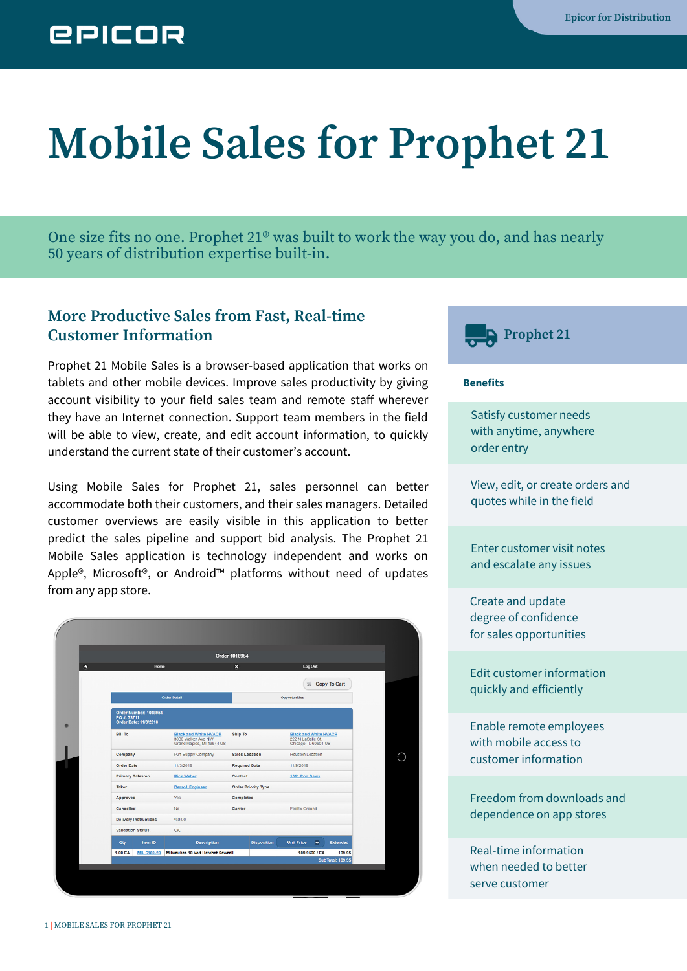# **EPICOR**

# **Mobile Sales for Prophet 21**

One size fits no one. Prophet 21® was built to work the way you do, and has nearly 50 years of distribution expertise built-in.

# **More Productive Sales from Fast, Real-time Customer Information Prophet Prophet Prophet Prophet Prophet Prophet Prophet Prophet Prophet Prophet Prophet Prophet Prophet Prophet Prophet Prophet Prophet Prophet Prophet Prophet**

Prophet 21 Mobile Sales is a browser-based application that works on tablets and other mobile devices. Improve sales productivity by giving account visibility to your field sales team and remote staff wherever they have an Internet connection. Support team members in the field will be able to view, create, and edit account information, to quickly understand the current state of their customer's account.

Using Mobile Sales for Prophet 21, sales personnel can better accommodate both their customers, and their sales managers. Detailed customer overviews are easily visible in this application to better predict the sales pipeline and support bid analysis. The Prophet 21 Mobile Sales application is technology independent and works on Apple®, Microsoft®, or Android™ platforms without need of updates from any app store.

|                |                                                                      |                                                                                 | <b>Order 1018954</b>       |                    |                                                                           |               |                 |
|----------------|----------------------------------------------------------------------|---------------------------------------------------------------------------------|----------------------------|--------------------|---------------------------------------------------------------------------|---------------|-----------------|
|                | Home                                                                 |                                                                                 | $\pmb{\times}$             |                    | Log Out                                                                   |               |                 |
|                |                                                                      |                                                                                 |                            |                    |                                                                           |               | Copy To Cart    |
|                |                                                                      | <b>Order Detail</b>                                                             | <b>Opportunities</b>       |                    |                                                                           |               |                 |
|                | Order Number: 1018954<br>PO #: 78711<br><b>Order Date: 11/3/2018</b> |                                                                                 |                            |                    |                                                                           |               |                 |
| <b>Bill To</b> |                                                                      | <b>Black and White HVACR</b><br>3030 Walker Ave NW<br>Grand Rapids, MI 49544 US | Ship To                    |                    | <b>Black and White HVACR</b><br>222 N LaSalle St.<br>Chicago, IL 60601 US |               |                 |
| Company        |                                                                      | P21 Supply Company                                                              | <b>Sales Location</b>      |                    | <b>Houston Location</b>                                                   |               |                 |
|                | <b>Order Date</b>                                                    | 11/3/2018                                                                       | <b>Required Date</b>       |                    | 11/9/2018                                                                 |               |                 |
|                | <b>Primary Salesrep</b>                                              | <b>Rick Weber</b>                                                               | Contact                    |                    | 1011 Ron Daws                                                             |               |                 |
| Taker          |                                                                      | <b>Demo1 Engineer</b>                                                           | <b>Order Priority Type</b> |                    |                                                                           |               |                 |
| Approved       |                                                                      | Yes                                                                             | Completed                  |                    |                                                                           |               |                 |
| Cancelled      |                                                                      | <b>No</b>                                                                       | Carrier                    |                    | <b>FedEx Ground</b>                                                       |               |                 |
|                | <b>Delivery Instructions</b>                                         | %0.00                                                                           |                            |                    |                                                                           |               |                 |
|                | <b>Validation Status</b>                                             | OK                                                                              |                            |                    |                                                                           |               |                 |
| <b>Qty</b>     | Item ID                                                              | <b>Description</b>                                                              |                            | <b>Disposition</b> | <b>Unit Price</b>                                                         | $\bullet$     | <b>Extended</b> |
| 1.00 EA        | MIL 6180-20                                                          | Milwaukee 18 Volt Hatchet Sawzall                                               |                            |                    |                                                                           | 189.9500 / EA | 189.95          |



#### **Benefits**

Satisfy customer needs with anytime, anywhere order entry

View, edit, or create orders and quotes while in the field

Enter customer visit notes and escalate any issues

Create and update degree of confidence for sales opportunities

Edit customer information quickly and efficiently

Enable remote employees with mobile access to customer information

Freedom from downloads and dependence on app stores

Real-time information when needed to better serve customer